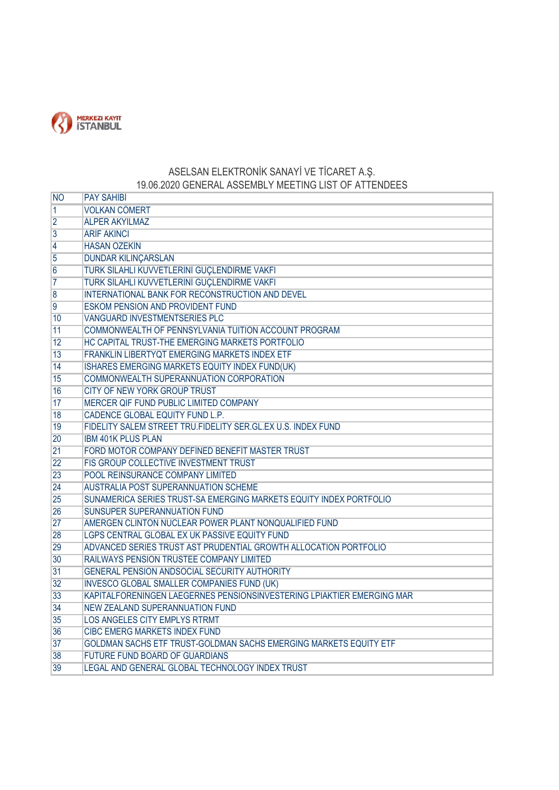

## ASELSAN ELEKTRONİK SANAYİ VE TİCARET A.Ş. 19.06.2020 GENERAL ASSEMBLY MEETING LIST OF ATTENDEES

| <b>NO</b>       | <b>PAY SAHIBI</b>                                                      |
|-----------------|------------------------------------------------------------------------|
| $\vert$ 1       | <b>VOLKAN CÖMERT</b>                                                   |
| $\overline{2}$  | <b>ALPER AKYILMAZ</b>                                                  |
| $\overline{3}$  | <b>ARİF AKINCI</b>                                                     |
| $\overline{4}$  | <b>HASAN ÖZEKİN</b>                                                    |
| 5               | DÜNDAR KILINÇARSLAN                                                    |
| $6\overline{6}$ | TURK SİLAHLI KUVVETLERİNİ GUÇLENDİRME VAKFI                            |
| $\overline{7}$  | TÜRK SİLAHLI KUVVETLERİNİ GÜÇLENDİRME VAKFI                            |
| $\overline{8}$  | INTERNATIONAL BANK FOR RECONSTRUCTION AND DEVEL                        |
| $\overline{9}$  | <b>ESKOM PENSION AND PROVIDENT FUND</b>                                |
| 10              | <b>VANGUARD INVESTMENTSERIES PLC</b>                                   |
| 11              | COMMONWEALTH OF PENNSYLVANIA TUITION ACCOUNT PROGRAM                   |
| 12              | HC CAPITAL TRUST-THE EMERGING MARKETS PORTFOLIO                        |
| 13              | FRANKLIN LIBERTYQT EMERGING MARKETS INDEX ETF                          |
| 14              | ISHARES EMERGING MARKETS EQUITY INDEX FUND(UK)                         |
| 15              | COMMONWEALTH SUPERANNUATION CORPORATION                                |
| 16              | <b>CITY OF NEW YORK GROUP TRUST</b>                                    |
| 17              | MERCER QIF FUND PUBLIC LIMITED COMPANY                                 |
| 18              | CADENCE GLOBAL EQUITY FUND L.P.                                        |
| 19              | FIDELITY SALEM STREET TRU.FIDELITY SER.GL.EX U.S. INDEX FUND           |
| 20              | <b>IBM 401K PLUS PLAN</b>                                              |
| 21              | FORD MOTOR COMPANY DEFINED BENEFIT MASTER TRUST                        |
| 22              | FIS GROUP COLLECTIVE INVESTMENT TRUST                                  |
| 23              | POOL REINSURANCE COMPANY LIMITED                                       |
| 24              | <b>AUSTRALIA POST SUPERANNUATION SCHEME</b>                            |
| 25              | SUNAMERICA SERIES TRUST-SA EMERGING MARKETS EQUITY INDEX PORTFOLIO     |
| 26              | <b>SUNSUPER SUPERANNUATION FUND</b>                                    |
| 27              | AMERGEN CLINTON NUCLEAR POWER PLANT NONQUALIFIED FUND                  |
| 28              | LGPS CENTRAL GLOBAL EX UK PASSIVE EQUITY FUND                          |
| 29              | ADVANCED SERIES TRUST AST PRUDENTIAL GROWTH ALLOCATION PORTFOLIO       |
| 30              | RAILWAYS PENSION TRUSTEE COMPANY LIMITED                               |
| 31              | GENERAL PENSION ANDSOCIAL SECURITY AUTHORITY                           |
| 32              | <b>INVESCO GLOBAL SMALLER COMPANIES FUND (UK)</b>                      |
| 33              | KAPITALFORENINGEN LAEGERNES PENSIONSINVESTERING LPIAKTIER EMERGING MAR |
| 34              | NEW ZEALAND SUPERANNUATION FUND                                        |
| 35              | LOS ANGELES CITY EMPLYS RTRMT                                          |
| 36              | <b>CIBC EMERG MARKETS INDEX FUND</b>                                   |
| 37              | GOLDMAN SACHS ETF TRUST-GOLDMAN SACHS EMERGING MARKETS EQUITY ETF      |
| 38              | FUTURE FUND BOARD OF GUARDIANS                                         |
| 39              | LEGAL AND GENERAL GLOBAL TECHNOLOGY INDEX TRUST                        |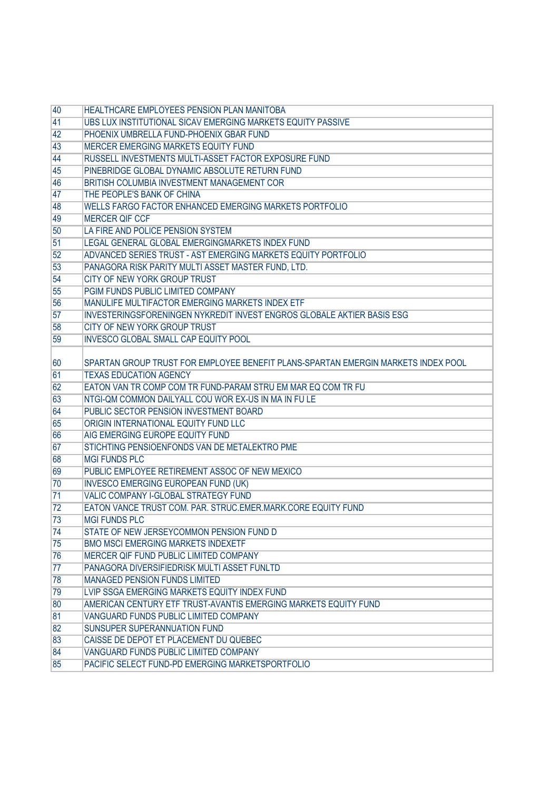| 40       | HEALTHCARE EMPLOYEES PENSION PLAN MANITOBA                                            |
|----------|---------------------------------------------------------------------------------------|
| 41       | UBS LUX INSTITUTIONAL SICAV EMERGING MARKETS EQUITY PASSIVE                           |
| 42       | PHOENIX UMBRELLA FUND-PHOENIX GBAR FUND                                               |
| 43       | <b>MERCER EMERGING MARKETS EQUITY FUND</b>                                            |
| 44       | RUSSELL INVESTMENTS MULTI-ASSET FACTOR EXPOSURE FUND                                  |
| 45       | PINEBRIDGE GLOBAL DYNAMIC ABSOLUTE RETURN FUND                                        |
| 46       | BRITISH COLUMBIA INVESTMENT MANAGEMENT COR                                            |
| 47       | THE PEOPLE'S BANK OF CHINA                                                            |
| 48       | WELLS FARGO FACTOR ENHANCED EMERGING MARKETS PORTFOLIO                                |
| 49       | <b>MERCER QIF CCF</b>                                                                 |
| 50       | LA FIRE AND POLICE PENSION SYSTEM                                                     |
| 51       | LEGAL GENERAL GLOBAL EMERGINGMARKETS INDEX FUND                                       |
| 52       | ADVANCED SERIES TRUST - AST EMERGING MARKETS EQUITY PORTFOLIO                         |
| 53       | PANAGORA RISK PARITY MULTI ASSET MASTER FUND, LTD.                                    |
| 54       | <b>CITY OF NEW YORK GROUP TRUST</b>                                                   |
| 55       | PGIM FUNDS PUBLIC LIMITED COMPANY                                                     |
| 56       | MANULIFE MULTIFACTOR EMERGING MARKETS INDEX ETF                                       |
| 57       | INVESTERINGSFORENINGEN NYKREDIT INVEST ENGROS GLOBALE AKTIER BASIS ESG                |
| 58       | <b>CITY OF NEW YORK GROUP TRUST</b>                                                   |
| 59       | <b>INVESCO GLOBAL SMALL CAP EQUITY POOL</b>                                           |
|          |                                                                                       |
| 60       | SPARTAN GROUP TRUST FOR EMPLOYEE BENEFIT PLANS-SPARTAN EMERGIN MARKETS INDEX POOL     |
| 61       | <b>TEXAS EDUCATION AGENCY</b>                                                         |
| 62       | EATON VAN TR COMP COM TR FUND-PARAM STRU EM MAR EQ COM TR FU                          |
| 63       | NTGI-QM COMMON DAILYALL COU WOR EX-US IN MA IN FU LE                                  |
| 64       | PUBLIC SECTOR PENSION INVESTMENT BOARD                                                |
| 65       | ORIGIN INTERNATIONAL EQUITY FUND LLC                                                  |
| 66       | AIG EMERGING EUROPE EQUITY FUND                                                       |
| 67       | STICHTING PENSIOENFONDS VAN DE METALEKTRO PME                                         |
| 68       | <b>MGI FUNDS PLC</b>                                                                  |
| 69       | PUBLIC EMPLOYEE RETIREMENT ASSOC OF NEW MEXICO                                        |
| 70       | <b>INVESCO EMERGING EUROPEAN FUND (UK)</b>                                            |
| 71       | VALIC COMPANY I-GLOBAL STRATEGY FUND                                                  |
| 72       | EATON VANCE TRUST COM. PAR. STRUC.EMER.MARK.CORE EQUITY FUND<br><b>MGI FUNDS PLC</b>  |
| 73       |                                                                                       |
| 74       | STATE OF NEW JERSEYCOMMON PENSION FUND D<br><b>BMO MSCI EMERGING MARKETS INDEXETF</b> |
| 75<br>76 | MERCER QIF FUND PUBLIC LIMITED COMPANY                                                |
| 77       | PANAGORA DIVERSIFIEDRISK MULTI ASSET FUNLTD                                           |
| 78       | <b>MANAGED PENSION FUNDS LIMITED</b>                                                  |
| 79       | LVIP SSGA EMERGING MARKETS EQUITY INDEX FUND                                          |
| 80       | AMERICAN CENTURY ETF TRUST-AVANTIS EMERGING MARKETS EQUITY FUND                       |
| 81       | VANGUARD FUNDS PUBLIC LIMITED COMPANY                                                 |
| 82       | SUNSUPER SUPERANNUATION FUND                                                          |
| 83       | CAISSE DE DEPOT ET PLACEMENT DU QUEBEC                                                |
| 84       | VANGUARD FUNDS PUBLIC LIMITED COMPANY                                                 |
| 85       | PACIFIC SELECT FUND-PD EMERGING MARKETSPORTFOLIO                                      |
|          |                                                                                       |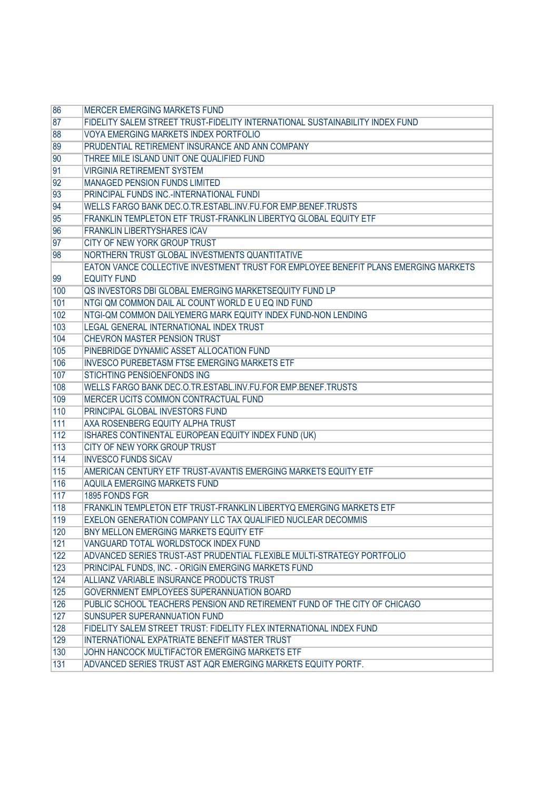| 86    | <b>MERCER EMERGING MARKETS FUND</b>                                                 |
|-------|-------------------------------------------------------------------------------------|
| 87    | FIDELITY SALEM STREET TRUST-FIDELITY INTERNATIONAL SUSTAINABILITY INDEX FUND        |
| 88    | <b>VOYA EMERGING MARKETS INDEX PORTFOLIO</b>                                        |
| 89    | PRUDENTIAL RETIREMENT INSURANCE AND ANN COMPANY                                     |
| 90    | THREE MILE ISLAND UNIT ONE QUALIFIED FUND                                           |
| 91    | <b>VIRGINIA RETIREMENT SYSTEM</b>                                                   |
| 92    | <b>MANAGED PENSION FUNDS LIMITED</b>                                                |
| 93    | PRINCIPAL FUNDS INC.-INTERNATIONAL FUNDI                                            |
| 94    | WELLS FARGO BANK DEC.O.TR.ESTABL.INV.FU.FOR EMP.BENEF.TRUSTS                        |
| 95    | FRANKLIN TEMPLETON ETF TRUST-FRANKLIN LIBERTYQ GLOBAL EQUITY ETF                    |
| 96    | <b>FRANKLIN LIBERTYSHARES ICAV</b>                                                  |
| 97    | CITY OF NEW YORK GROUP TRUST                                                        |
| 98    | NORTHERN TRUST GLOBAL INVESTMENTS QUANTITATIVE                                      |
|       | EATON VANCE COLLECTIVE INVESTMENT TRUST FOR EMPLOYEE BENEFIT PLANS EMERGING MARKETS |
| 99    | <b>EQUITY FUND</b>                                                                  |
| 100   | QS INVESTORS DBI GLOBAL EMERGING MARKETSEQUITY FUND LP                              |
| 101   | NTGI QM COMMON DAIL AL COUNT WORLD E U EQ IND FUND                                  |
| 102   | NTGI-QM COMMON DAILYEMERG MARK EQUITY INDEX FUND-NON LENDING                        |
| 103   | LEGAL GENERAL INTERNATIONAL INDEX TRUST                                             |
| 104   | <b>CHEVRON MASTER PENSION TRUST</b>                                                 |
| 105   | PINEBRIDGE DYNAMIC ASSET ALLOCATION FUND                                            |
| 106   | <b>INVESCO PUREBETASM FTSE EMERGING MARKETS ETF</b>                                 |
| 107   | STICHTING PENSIOENFONDS ING                                                         |
| 108   | WELLS FARGO BANK DEC.O.TR.ESTABL.INV.FU.FOR EMP.BENEF.TRUSTS                        |
| 109   | MERCER UCITS COMMON CONTRACTUAL FUND                                                |
| 110   | PRINCIPAL GLOBAL INVESTORS FUND                                                     |
| 111   | AXA ROSENBERG EQUITY ALPHA TRUST                                                    |
| $112$ | ISHARES CONTINENTAL EUROPEAN EQUITY INDEX FUND (UK)                                 |
| $113$ | CITY OF NEW YORK GROUP TRUST                                                        |
| 114   | <b>INVESCO FUNDS SICAV</b>                                                          |
| 115   | AMERICAN CENTURY ETF TRUST-AVANTIS EMERGING MARKETS EQUITY ETF                      |
| 116   | AQUILA EMERGING MARKETS FUND                                                        |
| $117$ | 1895 FONDS FGR                                                                      |
| 118   | FRANKLIN TEMPLETON ETF TRUST-FRANKLIN LIBERTYQ EMERGING MARKETS ETF                 |
| 119   | EXELON GENERATION COMPANY LLC TAX QUALIFIED NUCLEAR DECOMMIS                        |
| 120   | BNY MELLON EMERGING MARKETS EQUITY ETF                                              |
| 121   | VANGUARD TOTAL WORLDSTOCK INDEX FUND                                                |
| 122   | ADVANCED SERIES TRUST-AST PRUDENTIAL FLEXIBLE MULTI-STRATEGY PORTFOLIO              |
| 123   | PRINCIPAL FUNDS, INC. - ORIGIN EMERGING MARKETS FUND                                |
| 124   | ALLIANZ VARIABLE INSURANCE PRODUCTS TRUST                                           |
| 125   | GOVERNMENT EMPLOYEES SUPERANNUATION BOARD                                           |
| 126   | PUBLIC SCHOOL TEACHERS PENSION AND RETIREMENT FUND OF THE CITY OF CHICAGO           |
| 127   | SUNSUPER SUPERANNUATION FUND                                                        |
| 128   | FIDELITY SALEM STREET TRUST: FIDELITY FLEX INTERNATIONAL INDEX FUND                 |
| 129   | INTERNATIONAL EXPATRIATE BENEFIT MASTER TRUST                                       |
| 130   | JOHN HANCOCK MULTIFACTOR EMERGING MARKETS ETF                                       |
| 131   | ADVANCED SERIES TRUST AST AQR EMERGING MARKETS EQUITY PORTF.                        |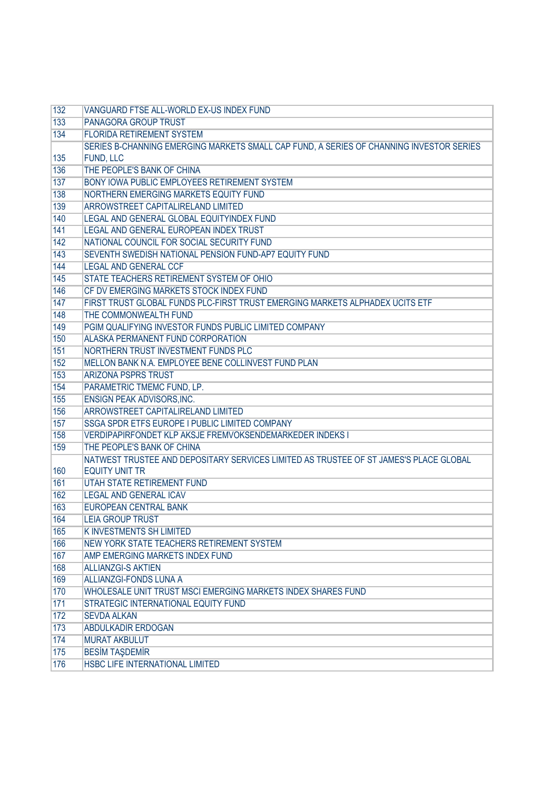| 132        | VANGUARD FTSE ALL-WORLD EX-US INDEX FUND                                                |
|------------|-----------------------------------------------------------------------------------------|
| 133        | <b>PANAGORA GROUP TRUST</b>                                                             |
| 134        | <b>FLORIDA RETIREMENT SYSTEM</b>                                                        |
|            | SERIES B-CHANNING EMERGING MARKETS SMALL CAP FUND, A SERIES OF CHANNING INVESTOR SERIES |
| 135        | FUND, LLC                                                                               |
| 136        | THE PEOPLE'S BANK OF CHINA                                                              |
| 137        | BONY IOWA PUBLIC EMPLOYEES RETIREMENT SYSTEM                                            |
| 138        | NORTHERN EMERGING MARKETS EQUITY FUND                                                   |
| 139        | ARROWSTREET CAPITALIRELAND LIMITED                                                      |
| 140        | LEGAL AND GENERAL GLOBAL EQUITYINDEX FUND                                               |
| 141        | LEGAL AND GENERAL EUROPEAN INDEX TRUST                                                  |
| 142        | NATIONAL COUNCIL FOR SOCIAL SECURITY FUND                                               |
| 143        | SEVENTH SWEDISH NATIONAL PENSION FUND-AP7 EQUITY FUND                                   |
| 144        | <b>LEGAL AND GENERAL CCF</b>                                                            |
| 145        | STATE TEACHERS RETIREMENT SYSTEM OF OHIO                                                |
| 146        | CF DV EMERGING MARKETS STOCK INDEX FUND                                                 |
| 147        | FIRST TRUST GLOBAL FUNDS PLC-FIRST TRUST EMERGING MARKETS ALPHADEX UCITS ETF            |
| 148        | THE COMMONWEALTH FUND                                                                   |
| 149        | PGIM QUALIFYING INVESTOR FUNDS PUBLIC LIMITED COMPANY                                   |
| 150        | ALASKA PERMANENT FUND CORPORATION                                                       |
| 151        | NORTHERN TRUST INVESTMENT FUNDS PLC                                                     |
| 152        | MELLON BANK N.A. EMPLOYEE BENE COLLINVEST FUND PLAN                                     |
| 153        | <b>ARIZONA PSPRS TRUST</b>                                                              |
| 154        | PARAMETRIC TMEMC FUND, LP.                                                              |
| 155        | ENSIGN PEAK ADVISORS, INC.                                                              |
| 156        | ARROWSTREET CAPITALIRELAND LIMITED                                                      |
| 157        | SSGA SPDR ETFS EUROPE I PUBLIC LIMITED COMPANY                                          |
| 158        | VERDIPAPIRFONDET KLP AKSJE FREMVOKSENDEMARKEDER INDEKS I                                |
| 159        | THE PEOPLE'S BANK OF CHINA                                                              |
|            | NATWEST TRUSTEE AND DEPOSITARY SERVICES LIMITED AS TRUSTEE OF ST JAMES'S PLACE GLOBAL   |
| 160        | <b>EQUITY UNIT TR</b>                                                                   |
| 161        | <b>UTAH STATE RETIREMENT FUND</b>                                                       |
| 162        | <b>LEGAL AND GENERAL ICAV</b>                                                           |
| 163        | EUROPEAN CENTRAL BANK                                                                   |
| 164        | <b>LEIA GROUP TRUST</b>                                                                 |
| 165        | <b>KINVESTMENTS SH LIMITED</b>                                                          |
| 166        | NEW YORK STATE TEACHERS RETIREMENT SYSTEM                                               |
| 167        | AMP EMERGING MARKETS INDEX FUND                                                         |
| 168        | <b>ALLIANZGI-S AKTIEN</b>                                                               |
| 169        | <b>ALLIANZGI-FONDS LUNA A</b>                                                           |
| 170        | WHOLESALE UNIT TRUST MSCI EMERGING MARKETS INDEX SHARES FUND                            |
| 171<br>172 | STRATEGIC INTERNATIONAL EQUITY FUND<br><b>SEVDA ALKAN</b>                               |
|            |                                                                                         |
| 173        | ABDULKADİR ERDOĞAN                                                                      |
| 174        | <b>MURAT AKBULUT</b>                                                                    |
| 175        | <b>BESIM TAŞDEMİR</b><br>HSBC LIFE INTERNATIONAL LIMITED                                |
| 176        |                                                                                         |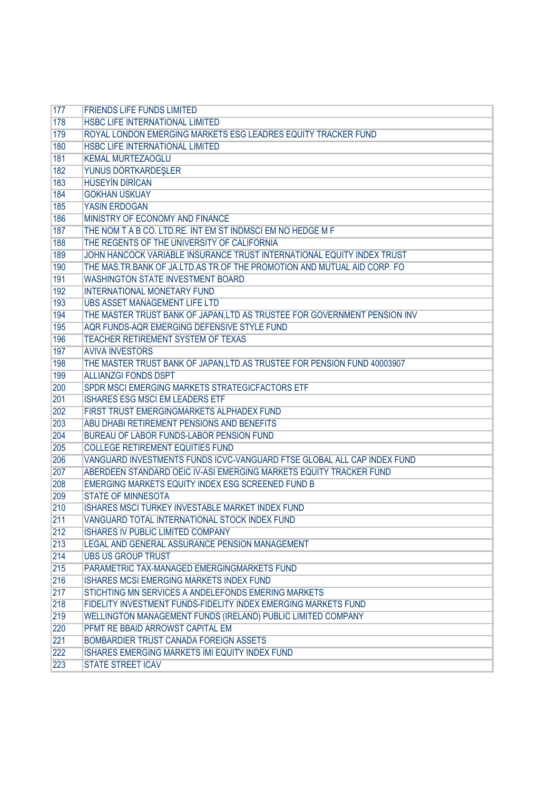| 177 | <b>FRIENDS LIFE FUNDS LIMITED</b>                                         |
|-----|---------------------------------------------------------------------------|
| 178 | HSBC LIFE INTERNATIONAL LIMITED                                           |
| 179 | ROYAL LONDON EMERGING MARKETS ESG LEADRES EQUITY TRACKER FUND             |
| 180 | HSBC LIFE INTERNATIONAL LIMITED                                           |
| 181 | <b>KEMAL MURTEZAOĞLU</b>                                                  |
| 182 | YUNUS DÖRTKARDEŞLER                                                       |
| 183 | <b>HUSEYIN DIRICAN</b>                                                    |
| 184 | <b>GÖKHAN USKUAY</b>                                                      |
| 185 | YASİN ERDOĞAN                                                             |
| 186 | MINISTRY OF ECONOMY AND FINANCE                                           |
| 187 | THE NOM T A B CO. LTD.RE. INT EM ST INDMSCI EM NO HEDGE M F               |
| 188 | THE REGENTS OF THE UNIVERSITY OF CALIFORNIA                               |
| 189 | JOHN HANCOCK VARIABLE INSURANCE TRUST INTERNATIONAL EQUITY INDEX TRUST    |
| 190 | THE MAS.TR.BANK OF JA.LTD.AS TR.OF THE PROMOTION AND MUTUAL AID CORP. FO  |
| 191 | <b>WASHINGTON STATE INVESTMENT BOARD</b>                                  |
| 192 | <b>INTERNATIONAL MONETARY FUND</b>                                        |
| 193 | <b>UBS ASSET MANAGEMENT LIFE LTD</b>                                      |
| 194 | THE MASTER TRUST BANK OF JAPAN, LTD AS TRUSTEE FOR GOVERNMENT PENSION INV |
| 195 | AQR FUNDS-AQR EMERGING DEFENSIVE STYLE FUND                               |
| 196 | TEACHER RETIREMENT SYSTEM OF TEXAS                                        |
| 197 | <b>AVIVA INVESTORS</b>                                                    |
| 198 | THE MASTER TRUST BANK OF JAPAN, LTD.AS TRUSTEE FOR PENSION FUND 40003907  |
| 199 | <b>ALLIANZGI FONDS DSPT</b>                                               |
| 200 | SPDR MSCI EMERGING MARKETS STRATEGICFACTORS ETF                           |
| 201 | ISHARES ESG MSCI EM LEADERS ETF                                           |
| 202 | FIRST TRUST EMERGINGMARKETS ALPHADEX FUND                                 |
| 203 | ABU DHABI RETIREMENT PENSIONS AND BENEFITS                                |
| 204 | BUREAU OF LABOR FUNDS-LABOR PENSION FUND                                  |
| 205 | <b>COLLEGE RETIREMENT EQUITIES FUND</b>                                   |
| 206 | VANGUARD INVESTMENTS FUNDS ICVC-VANGUARD FTSE GLOBAL ALL CAP INDEX FUND   |
| 207 | ABERDEEN STANDARD OEIC IV-ASI EMERGING MARKETS EQUITY TRACKER FUND        |
| 208 | EMERGING MARKETS EQUITY INDEX ESG SCREENED FUND B                         |
| 209 | <b>STATE OF MINNESOTA</b>                                                 |
| 210 | ISHARES MSCI TURKEY INVESTABLE MARKET INDEX FUND                          |
| 211 | VANGUARD TOTAL INTERNATIONAL STOCK INDEX FUND                             |
| 212 | ISHARES IV PUBLIC LIMITED COMPANY                                         |
| 213 | LEGAL AND GENERAL ASSURANCE PENSION MANAGEMENT                            |
| 214 | <b>UBS US GROUP TRUST</b>                                                 |
| 215 | PARAMETRIC TAX-MANAGED EMERGINGMARKETS FUND                               |
| 216 | <b>ISHARES MCSI EMERGING MARKETS INDEX FUND</b>                           |
| 217 | STICHTING MN SERVICES A ANDELEFONDS EMERING MARKETS                       |
| 218 | FIDELITY INVESTMENT FUNDS-FIDELITY INDEX EMERGING MARKETS FUND            |
| 219 | WELLINGTON MANAGEMENT FUNDS (IRELAND) PUBLIC LIMITED COMPANY              |
| 220 | PFMT RE BBAID ARROWST CAPITAL EM                                          |
| 221 | BOMBARDIER TRUST CANADA FOREIGN ASSETS                                    |
| 222 | ISHARES EMERGING MARKETS IMI EQUITY INDEX FUND                            |
| 223 | <b>STATE STREET ICAV</b>                                                  |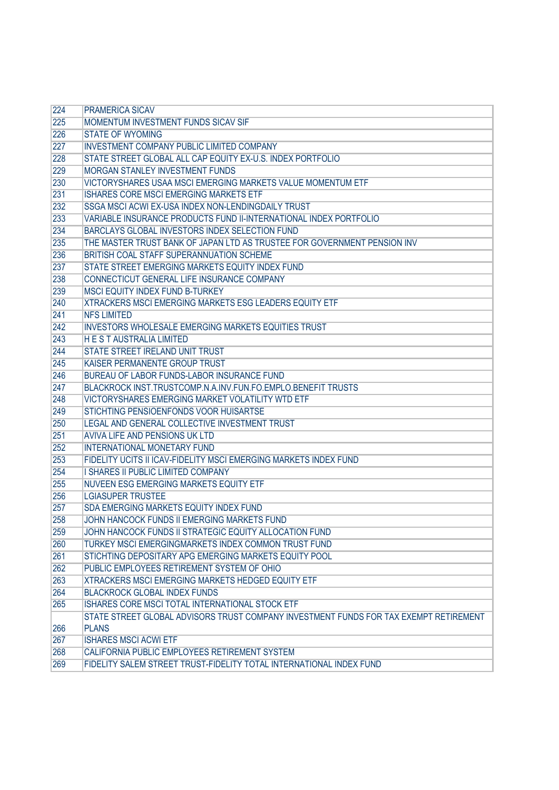| 224 | <b>PRAMERICA SICAV</b>                                                                |
|-----|---------------------------------------------------------------------------------------|
| 225 | MOMENTUM INVESTMENT FUNDS SICAV SIF                                                   |
| 226 | <b>STATE OF WYOMING</b>                                                               |
| 227 | <b>INVESTMENT COMPANY PUBLIC LIMITED COMPANY</b>                                      |
| 228 | STATE STREET GLOBAL ALL CAP EQUITY EX-U.S. INDEX PORTFOLIO                            |
| 229 | <b>MORGAN STANLEY INVESTMENT FUNDS</b>                                                |
| 230 | VICTORYSHARES USAA MSCI EMERGING MARKETS VALUE MOMENTUM ETF                           |
| 231 | ISHARES CORE MSCI EMERGING MARKETS ETF                                                |
| 232 | SSGA MSCI ACWI EX-USA INDEX NON-LENDINGDAILY TRUST                                    |
| 233 | VARIABLE INSURANCE PRODUCTS FUND II-INTERNATIONAL INDEX PORTFOLIO                     |
| 234 | BARCLAYS GLOBAL INVESTORS INDEX SELECTION FUND                                        |
| 235 | THE MASTER TRUST BANK OF JAPAN LTD AS TRUSTEE FOR GOVERNMENT PENSION INV              |
| 236 | BRITISH COAL STAFF SUPERANNUATION SCHEME                                              |
| 237 | STATE STREET EMERGING MARKETS EQUITY INDEX FUND                                       |
| 238 | CONNECTICUT GENERAL LIFE INSURANCE COMPANY                                            |
| 239 | <b>MSCI EQUITY INDEX FUND B-TURKEY</b>                                                |
| 240 | XTRACKERS MSCI EMERGING MARKETS ESG LEADERS EQUITY ETF                                |
| 241 | <b>NFS LIMITED</b>                                                                    |
| 242 | <b>INVESTORS WHOLESALE EMERGING MARKETS EQUITIES TRUST</b>                            |
| 243 | <b>HEST AUSTRALIA LIMITED</b>                                                         |
| 244 | STATE STREET IRELAND UNIT TRUST                                                       |
| 245 | KAISER PERMANENTE GROUP TRUST                                                         |
| 246 | BUREAU OF LABOR FUNDS-LABOR INSURANCE FUND                                            |
| 247 | BLACKROCK INST.TRUSTCOMP.N.A.INV.FUN.FO.EMPLO.BENEFIT TRUSTS                          |
| 248 | VICTORYSHARES EMERGING MARKET VOLATILITY WTD ETF                                      |
| 249 | STICHTING PENSIOENFONDS VOOR HUISARTSE                                                |
| 250 | LEGAL AND GENERAL COLLECTIVE INVESTMENT TRUST                                         |
| 251 | AVIVA LIFE AND PENSIONS UK LTD                                                        |
| 252 | <b>INTERNATIONAL MONETARY FUND</b>                                                    |
| 253 | FIDELITY UCITS II ICAV-FIDELITY MSCI EMERGING MARKETS INDEX FUND                      |
| 254 | I SHARES II PUBLIC LIMITED COMPANY                                                    |
| 255 | NUVEEN ESG EMERGING MARKETS EQUITY ETF                                                |
| 256 | <b>LGIASUPER TRUSTEE</b>                                                              |
| 257 | SDA EMERGING MARKETS EQUITY INDEX FUND                                                |
| 258 | JOHN HANCOCK FUNDS II EMERGING MARKETS FUND                                           |
| 259 | JOHN HANCOCK FUNDS II STRATEGIC EQUITY ALLOCATION FUND                                |
| 260 | TURKEY MSCI EMERGINGMARKETS INDEX COMMON TRUST FUND                                   |
| 261 | STICHTING DEPOSITARY APG EMERGING MARKETS EQUITY POOL                                 |
| 262 | PUBLIC EMPLOYEES RETIREMENT SYSTEM OF OHIO                                            |
| 263 | XTRACKERS MSCI EMERGING MARKETS HEDGED EQUITY ETF                                     |
| 264 | <b>BLACKROCK GLOBAL INDEX FUNDS</b>                                                   |
| 265 | ISHARES CORE MSCI TOTAL INTERNATIONAL STOCK ETF                                       |
|     | STATE STREET GLOBAL ADVISORS TRUST COMPANY INVESTMENT FUNDS FOR TAX EXEMPT RETIREMENT |
| 266 | <b>PLANS</b>                                                                          |
| 267 | <b>ISHARES MSCI ACWI ETF</b>                                                          |
| 268 | CALIFORNIA PUBLIC EMPLOYEES RETIREMENT SYSTEM                                         |
| 269 | FIDELITY SALEM STREET TRUST-FIDELITY TOTAL INTERNATIONAL INDEX FUND                   |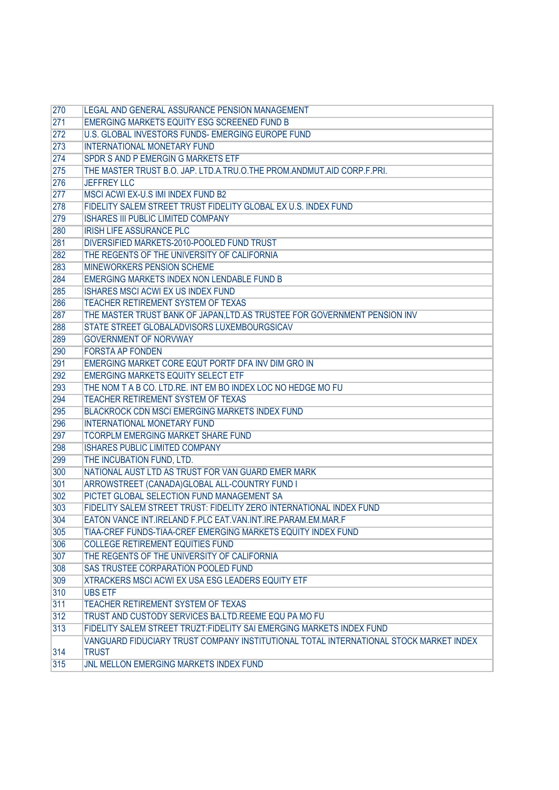| 270 | LEGAL AND GENERAL ASSURANCE PENSION MANAGEMENT                                        |
|-----|---------------------------------------------------------------------------------------|
| 271 | EMERGING MARKETS EQUITY ESG SCREENED FUND B                                           |
| 272 | U.S. GLOBAL INVESTORS FUNDS- EMERGING EUROPE FUND                                     |
| 273 | <b>INTERNATIONAL MONETARY FUND</b>                                                    |
| 274 | SPDR S AND P EMERGIN G MARKETS ETF                                                    |
| 275 | THE MASTER TRUST B.O. JAP. LTD.A.TRU.O.THE PROM.ANDMUT.AID CORP.F.PRI.                |
| 276 | <b>JEFFREY LLC</b>                                                                    |
| 277 | MSCI ACWI EX-U.S IMI INDEX FUND B2                                                    |
| 278 | FIDELITY SALEM STREET TRUST FIDELITY GLOBAL EX U.S. INDEX FUND                        |
| 279 | <b>ISHARES III PUBLIC LIMITED COMPANY</b>                                             |
| 280 | <b>IRISH LIFE ASSURANCE PLC</b>                                                       |
| 281 | DIVERSIFIED MARKETS-2010-POOLED FUND TRUST                                            |
| 282 | THE REGENTS OF THE UNIVERSITY OF CALIFORNIA                                           |
| 283 | MINEWORKERS PENSION SCHEME                                                            |
| 284 | EMERGING MARKETS INDEX NON LENDABLE FUND B                                            |
| 285 | <b>ISHARES MSCI ACWI EX US INDEX FUND</b>                                             |
| 286 | <b>TEACHER RETIREMENT SYSTEM OF TEXAS</b>                                             |
| 287 | THE MASTER TRUST BANK OF JAPAN, LTD. AS TRUSTEE FOR GOVERNMENT PENSION INV            |
| 288 | STATE STREET GLOBALADVISORS LUXEMBOURGSICAV                                           |
| 289 | <b>GOVERNMENT OF NORVWAY</b>                                                          |
| 290 | <b>FORSTA AP FONDEN</b>                                                               |
| 291 | EMERGING MARKET CORE EQUT PORTF DFA INV DIM GRO IN                                    |
| 292 | <b>EMERGING MARKETS EQUITY SELECT ETF</b>                                             |
| 293 | THE NOM T A B CO. LTD.RE. INT EM BO INDEX LOC NO HEDGE MO FU                          |
| 294 | TEACHER RETIREMENT SYSTEM OF TEXAS                                                    |
| 295 | BLACKROCK CDN MSCI EMERGING MARKETS INDEX FUND                                        |
| 296 | <b>INTERNATIONAL MONETARY FUND</b>                                                    |
| 297 | <b>TCORPLM EMERGING MARKET SHARE FUND</b>                                             |
| 298 | <b>ISHARES PUBLIC LIMITED COMPANY</b>                                                 |
| 299 | THE INCUBATION FUND, LTD.                                                             |
| 300 | NATIONAL AUST LTD AS TRUST FOR VAN GUARD EMER MARK                                    |
| 301 | ARROWSTREET (CANADA)GLOBAL ALL-COUNTRY FUND I                                         |
| 302 | PICTET GLOBAL SELECTION FUND MANAGEMENT SA                                            |
| 303 | FIDELITY SALEM STREET TRUST: FIDELITY ZERO INTERNATIONAL INDEX FUND                   |
| 304 | EATON VANCE INT.IRELAND F.PLC EAT.VAN.INT.IRE.PARAM.EM.MAR.F                          |
| 305 | TIAA-CREF FUNDS-TIAA-CREF EMERGING MARKETS EQUITY INDEX FUND                          |
| 306 | <b>COLLEGE RETIREMENT EQUITIES FUND</b>                                               |
| 307 | THE REGENTS OF THE UNIVERSITY OF CALIFORNIA                                           |
| 308 | SAS TRUSTEE CORPARATION POOLED FUND                                                   |
| 309 | <b>XTRACKERS MSCI ACWI EX USA ESG LEADERS EQUITY ETF</b>                              |
| 310 | <b>UBS ETF</b>                                                                        |
| 311 | TEACHER RETIREMENT SYSTEM OF TEXAS                                                    |
| 312 | TRUST AND CUSTODY SERVICES BA.LTD.REEME EQU PA MO FU                                  |
| 313 | FIDELITY SALEM STREET TRUZT: FIDELITY SAI EMERGING MARKETS INDEX FUND                 |
|     | VANGUARD FIDUCIARY TRUST COMPANY INSTITUTIONAL TOTAL INTERNATIONAL STOCK MARKET INDEX |
| 314 | <b>TRUST</b>                                                                          |
| 315 | JNL MELLON EMERGING MARKETS INDEX FUND                                                |